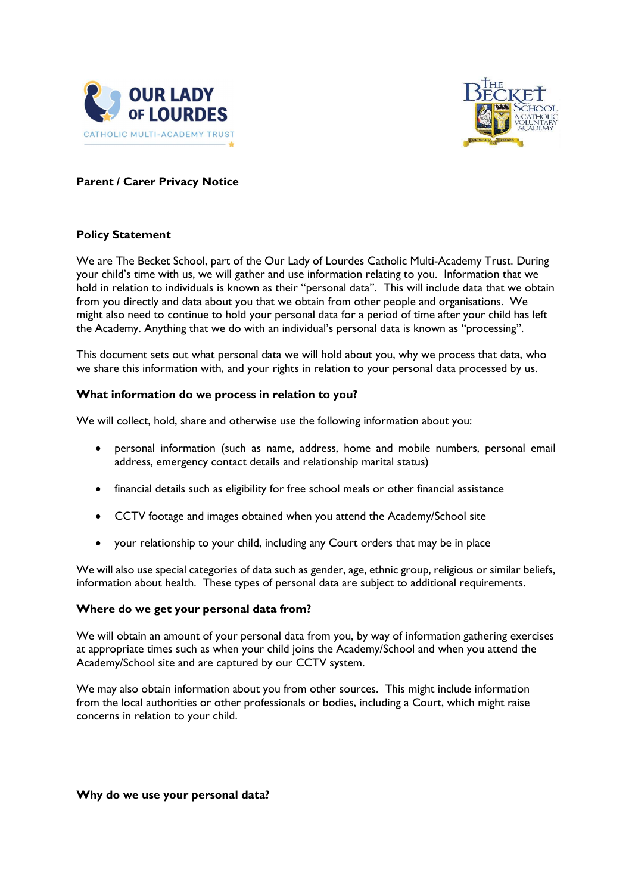



# Parent / Carer Privacy Notice

# Policy Statement

We are The Becket School, part of the Our Lady of Lourdes Catholic Multi-Academy Trust. During your child's time with us, we will gather and use information relating to you. Information that we hold in relation to individuals is known as their "personal data". This will include data that we obtain from you directly and data about you that we obtain from other people and organisations. We might also need to continue to hold your personal data for a period of time after your child has left the Academy. Anything that we do with an individual's personal data is known as "processing".

This document sets out what personal data we will hold about you, why we process that data, who we share this information with, and your rights in relation to your personal data processed by us.

## What information do we process in relation to you?

We will collect, hold, share and otherwise use the following information about you:

- personal information (such as name, address, home and mobile numbers, personal email address, emergency contact details and relationship marital status)
- financial details such as eligibility for free school meals or other financial assistance
- CCTV footage and images obtained when you attend the Academy/School site
- your relationship to your child, including any Court orders that may be in place

We will also use special categories of data such as gender, age, ethnic group, religious or similar beliefs, information about health. These types of personal data are subject to additional requirements.

## Where do we get your personal data from?

We will obtain an amount of your personal data from you, by way of information gathering exercises at appropriate times such as when your child joins the Academy/School and when you attend the Academy/School site and are captured by our CCTV system.

We may also obtain information about you from other sources. This might include information from the local authorities or other professionals or bodies, including a Court, which might raise concerns in relation to your child.

Why do we use your personal data?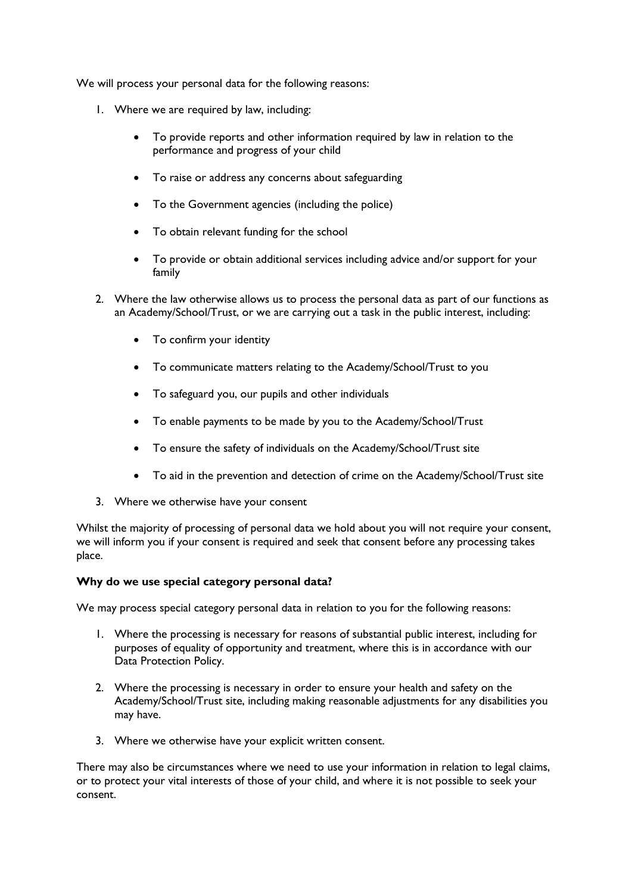We will process your personal data for the following reasons:

- 1. Where we are required by law, including:
	- To provide reports and other information required by law in relation to the performance and progress of your child
	- To raise or address any concerns about safeguarding
	- To the Government agencies (including the police)
	- To obtain relevant funding for the school
	- To provide or obtain additional services including advice and/or support for your family
- 2. Where the law otherwise allows us to process the personal data as part of our functions as an Academy/School/Trust, or we are carrying out a task in the public interest, including:
	- To confirm your identity
	- To communicate matters relating to the Academy/School/Trust to you
	- To safeguard you, our pupils and other individuals
	- To enable payments to be made by you to the Academy/School/Trust
	- To ensure the safety of individuals on the Academy/School/Trust site
	- To aid in the prevention and detection of crime on the Academy/School/Trust site
- 3. Where we otherwise have your consent

Whilst the majority of processing of personal data we hold about you will not require your consent, we will inform you if your consent is required and seek that consent before any processing takes place.

### Why do we use special category personal data?

We may process special category personal data in relation to you for the following reasons:

- 1. Where the processing is necessary for reasons of substantial public interest, including for purposes of equality of opportunity and treatment, where this is in accordance with our Data Protection Policy.
- 2. Where the processing is necessary in order to ensure your health and safety on the Academy/School/Trust site, including making reasonable adjustments for any disabilities you may have.
- 3. Where we otherwise have your explicit written consent.

There may also be circumstances where we need to use your information in relation to legal claims, or to protect your vital interests of those of your child, and where it is not possible to seek your consent.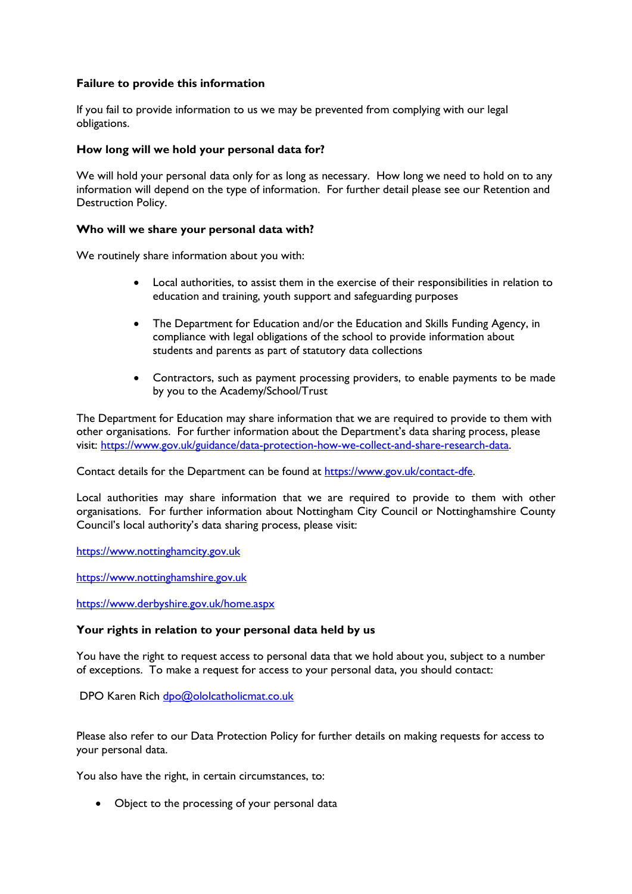# Failure to provide this information

If you fail to provide information to us we may be prevented from complying with our legal obligations.

## How long will we hold your personal data for?

We will hold your personal data only for as long as necessary. How long we need to hold on to any information will depend on the type of information. For further detail please see our Retention and Destruction Policy.

## Who will we share your personal data with?

We routinely share information about you with:

- Local authorities, to assist them in the exercise of their responsibilities in relation to education and training, youth support and safeguarding purposes
- The Department for Education and/or the Education and Skills Funding Agency, in compliance with legal obligations of the school to provide information about students and parents as part of statutory data collections
- Contractors, such as payment processing providers, to enable payments to be made by you to the Academy/School/Trust

The Department for Education may share information that we are required to provide to them with other organisations. For further information about the Department's data sharing process, please visit: https://www.gov.uk/guidance/data-protection-how-we-collect-and-share-research-data.

Contact details for the Department can be found at https://www.gov.uk/contact-dfe.

Local authorities may share information that we are required to provide to them with other organisations. For further information about Nottingham City Council or Nottinghamshire County Council's local authority's data sharing process, please visit:

https://www.nottinghamcity.gov.uk

https://www.nottinghamshire.gov.uk

https://www.derbyshire.gov.uk/home.aspx

### Your rights in relation to your personal data held by us

You have the right to request access to personal data that we hold about you, subject to a number of exceptions. To make a request for access to your personal data, you should contact:

DPO Karen Rich dpo@ololcatholicmat.co.uk

Please also refer to our Data Protection Policy for further details on making requests for access to your personal data.

You also have the right, in certain circumstances, to:

• Object to the processing of your personal data